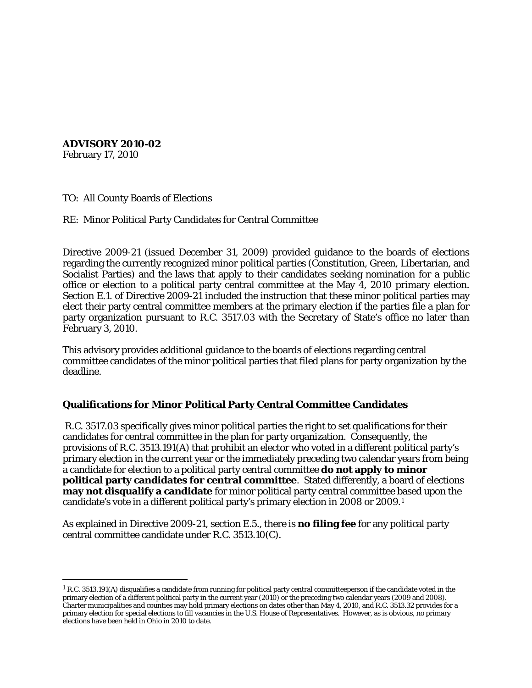**ADVISORY 2010-02**

February 17, 2010

TO: All County Boards of Elections

RE: Minor Political Party Candidates for Central Committee

Directive 2009-21 (issued December 31, 2009) provided guidance to the boards of elections regarding the currently recognized minor political parties (Constitution, Green, Libertarian, and Socialist Parties) and the laws that apply to their candidates seeking nomination for a public office or election to a political party central committee at the May 4, 2010 primary election. Section E.1. of Directive 2009-21 included the instruction that these minor political parties may elect their party central committee members at the primary election if the parties file a plan for party organization pursuant to R.C. 3517.03 with the Secretary of State's office no later than February 3, 2010.

This advisory provides additional guidance to the boards of elections regarding central committee candidates of the minor political parties that filed plans for party organization by the deadline.

#### **Qualifications for Minor Political Party Central Committee Candidates**

R.C. 3517.03 specifically gives minor political parties the right to set qualifications for their candidates for central committee in the plan for party organization. Consequently, the provisions of R.C. 3513.191(A) that prohibit an elector who voted in a different political party's primary election in the current year or the immediately preceding two calendar years from being a candidate for election to a political party central committee **do not apply to minor political party candidates for central committee**. Stated differently, a board of elections **may not disqualify a candidate** for minor political party central committee based upon the candidate's vote in a different political party's primary election in 2008 or 2009.[1](#page-0-0)

As explained in Directive 2009-21, section E.5., there is **no filing fee** for any political party central committee candidate under R.C. 3513.10(C).

<span id="page-0-0"></span> $1$  R.C. 3513.191(A) disqualifies a candidate from running for political party central committeeperson if the candidate voted in the primary election of a different political party in the current year (2010) or the preceding two calendar years (2009 and 2008). Charter municipalities and counties may hold primary elections on dates other than May 4, 2010, and R.C. 3513.32 provides for a primary election for special elections to fill vacancies in the U.S. House of Representatives. However, as is obvious, no primary elections have been held in Ohio in 2010 to date.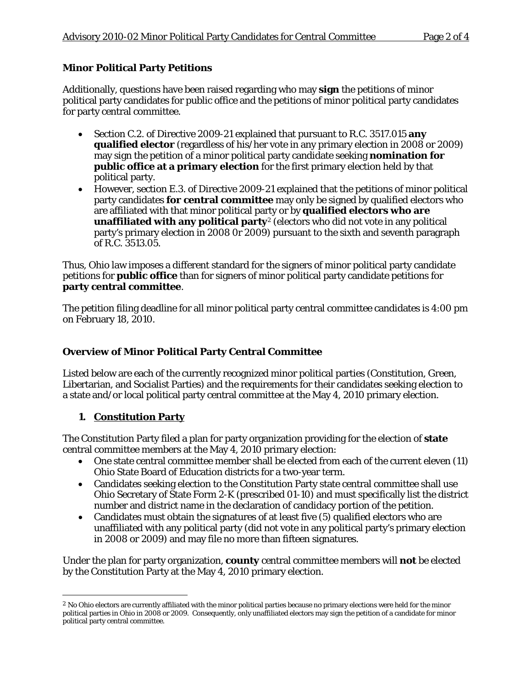## **Minor Political Party Petitions**

Additionally, questions have been raised regarding who may **sign** the petitions of minor political party candidates for public office and the petitions of minor political party candidates for party central committee.

- Section C.2. of Directive 2009-21 explained that pursuant to R.C. 3517.015 **any qualified elector** (regardless of his/her vote in any primary election in 2008 or 2009) may sign the petition of a minor political party candidate seeking **nomination for public office at a primary election** for the first primary election held by that political party.
- However, section E.3. of Directive 2009-21 explained that the petitions of minor political party candidates **for central committee** may only be signed by qualified electors who are affiliated with that minor political party or by **qualified electors who are unaffiliated with any political party<sup>[2](#page-1-0)</sup>** (electors who did not vote in any political party's primary election in 2008 0r 2009) pursuant to the sixth and seventh paragraph of R.C. 3513.05.

Thus, Ohio law imposes a different standard for the signers of minor political party candidate petitions for **public office** than for signers of minor political party candidate petitions for **party central committee**.

The petition filing deadline for all minor political party central committee candidates is 4:00 pm on February 18, 2010.

### **Overview of Minor Political Party Central Committee**

Listed below are each of the currently recognized minor political parties (Constitution, Green, Libertarian, and Socialist Parties) and the requirements for their candidates seeking election to a state and/or local political party central committee at the May 4, 2010 primary election.

### **1. Constitution Party**

The Constitution Party filed a plan for party organization providing for the election of **state**  central committee members at the May 4, 2010 primary election:

- One state central committee member shall be elected from each of the current eleven (11) Ohio State Board of Education districts for a two-year term.
- Candidates seeking election to the Constitution Party state central committee shall use Ohio Secretary of State Form 2-K (prescribed 01-10) and must specifically list the district number and district name in the declaration of candidacy portion of the petition.
- Candidates must obtain the signatures of at least five (5) qualified electors who are unaffiliated with any political party (did not vote in any political party's primary election in 2008 or 2009) and may file no more than fifteen signatures.

Under the plan for party organization, **county** central committee members will **not** be elected by the Constitution Party at the May 4, 2010 primary election.

<span id="page-1-0"></span> <sup>2</sup> No Ohio electors are currently affiliated with the minor political parties because no primary elections were held for the minor political parties in Ohio in 2008 or 2009. Consequently, only unaffiliated electors may sign the petition of a candidate for minor political party central committee.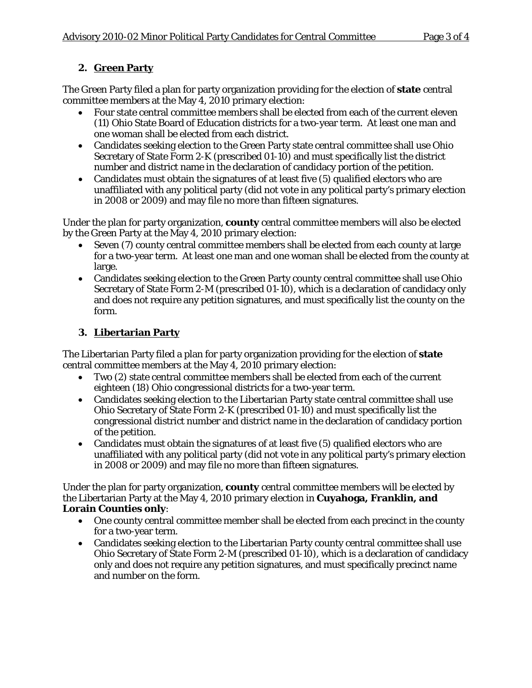# **2. Green Party**

The Green Party filed a plan for party organization providing for the election of **state** central committee members at the May 4, 2010 primary election:

- Four state central committee members shall be elected from each of the current eleven (11) Ohio State Board of Education districts for a two-year term. At least one man and one woman shall be elected from each district.
- Candidates seeking election to the Green Party state central committee shall use Ohio Secretary of State Form 2-K (prescribed 01-10) and must specifically list the district number and district name in the declaration of candidacy portion of the petition.
- Candidates must obtain the signatures of at least five (5) qualified electors who are unaffiliated with any political party (did not vote in any political party's primary election in 2008 or 2009) and may file no more than fifteen signatures.

Under the plan for party organization, **county** central committee members will also be elected by the Green Party at the May 4, 2010 primary election:

- Seven (7) county central committee members shall be elected from each county at large for a two-year term. At least one man and one woman shall be elected from the county at large.
- Candidates seeking election to the Green Party county central committee shall use Ohio Secretary of State Form 2-M (prescribed 01-10), which is a declaration of candidacy only and does not require any petition signatures, and must specifically list the county on the form.

# **3. Libertarian Party**

The Libertarian Party filed a plan for party organization providing for the election of **state**  central committee members at the May 4, 2010 primary election:

- Two (2) state central committee members shall be elected from each of the current eighteen (18) Ohio congressional districts for a two-year term.
- Candidates seeking election to the Libertarian Party state central committee shall use Ohio Secretary of State Form 2-K (prescribed 01-10) and must specifically list the congressional district number and district name in the declaration of candidacy portion of the petition.
- Candidates must obtain the signatures of at least five (5) qualified electors who are unaffiliated with any political party (did not vote in any political party's primary election in 2008 or 2009) and may file no more than fifteen signatures.

Under the plan for party organization, **county** central committee members will be elected by the Libertarian Party at the May 4, 2010 primary election in **Cuyahoga, Franklin, and Lorain Counties only**:

- One county central committee member shall be elected from each precinct in the county for a two-year term.
- Candidates seeking election to the Libertarian Party county central committee shall use Ohio Secretary of State Form 2-M (prescribed 01-10), which is a declaration of candidacy only and does not require any petition signatures, and must specifically precinct name and number on the form.